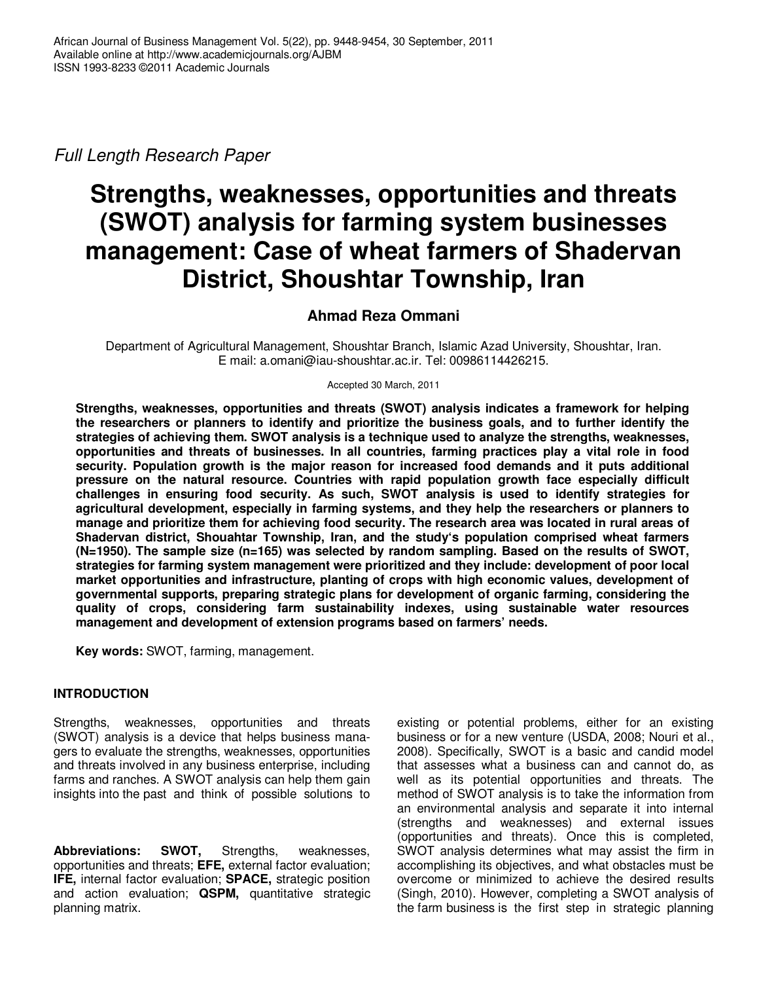Full Length Research Paper

# **Strengths, weaknesses, opportunities and threats (SWOT) analysis for farming system businesses management: Case of wheat farmers of Shadervan District, Shoushtar Township, Iran**

# **Ahmad Reza Ommani**

Department of Agricultural Management, Shoushtar Branch, Islamic Azad University, Shoushtar, Iran. E mail: a.omani@iau-shoushtar.ac.ir. Tel: 00986114426215.

Accepted 30 March, 2011

**Strengths, weaknesses, opportunities and threats (SWOT) analysis indicates a framework for helping the researchers or planners to identify and prioritize the business goals, and to further identify the strategies of achieving them. SWOT analysis is a technique used to analyze the strengths, weaknesses, opportunities and threats of businesses. In all countries, farming practices play a vital role in food security. Population growth is the major reason for increased food demands and it puts additional pressure on the natural resource. Countries with rapid population growth face especially difficult challenges in ensuring food security. As such, SWOT analysis is used to identify strategies for agricultural development, especially in farming systems, and they help the researchers or planners to manage and prioritize them for achieving food security. The research area was located in rural areas of Shadervan district, Shouahtar Township, Iran, and the study's population comprised wheat farmers (N=1950). The sample size (n=165) was selected by random sampling. Based on the results of SWOT, strategies for farming system management were prioritized and they include: development of poor local market opportunities and infrastructure, planting of crops with high economic values, development of governmental supports, preparing strategic plans for development of organic farming, considering the quality of crops, considering farm sustainability indexes, using sustainable water resources management and development of extension programs based on farmers' needs.** 

**Key words:** SWOT, farming, management.

# **INTRODUCTION**

Strengths, weaknesses, opportunities and threats (SWOT) analysis is a device that helps business managers to evaluate the strengths, weaknesses, opportunities and threats involved in any business enterprise, including farms and ranches. A SWOT analysis can help them gain insights into the past and think of possible solutions to

**Abbreviations: SWOT,** Strengths, weaknesses, opportunities and threats; **EFE,** external factor evaluation; **IFE,** internal factor evaluation; **SPACE,** strategic position and action evaluation; **QSPM,** quantitative strategic planning matrix.

existing or potential problems, either for an existing business or for a new venture (USDA, 2008; Nouri et al., 2008). Specifically, SWOT is a basic and candid model that assesses what a business can and cannot do, as well as its potential opportunities and threats. The method of SWOT analysis is to take the information from an environmental analysis and separate it into internal (strengths and weaknesses) and external issues (opportunities and threats). Once this is completed, SWOT analysis determines what may assist the firm in accomplishing its objectives, and what obstacles must be overcome or minimized to achieve the desired results (Singh, 2010). However, completing a SWOT analysis of the farm business is the first step in strategic planning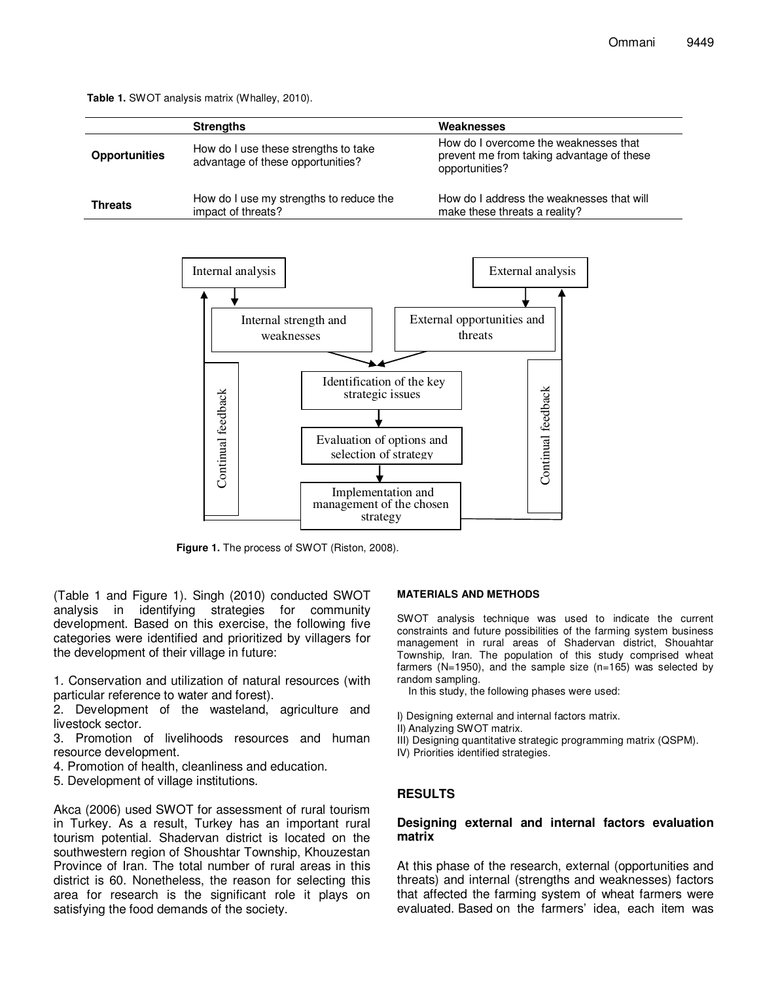**Table 1.** SWOT analysis matrix (Whalley, 2010).

|                      | <b>Strengths</b>                                                          | Weaknesses                                                                                           |
|----------------------|---------------------------------------------------------------------------|------------------------------------------------------------------------------------------------------|
| <b>Opportunities</b> | How do I use these strengths to take<br>advantage of these opportunities? | How do I overcome the weaknesses that<br>prevent me from taking advantage of these<br>opportunities? |
| <b>Threats</b>       | How do I use my strengths to reduce the<br>impact of threats?             | How do I address the weaknesses that will<br>make these threats a reality?                           |



**Figure 1.** The process of SWOT (Riston, 2008).

(Table 1 and Figure 1). Singh (2010) conducted SWOT analysis in identifying strategies for community development. Based on this exercise, the following five categories were identified and prioritized by villagers for the development of their village in future:

1. Conservation and utilization of natural resources (with particular reference to water and forest).

2. Development of the wasteland, agriculture and livestock sector.

3. Promotion of livelihoods resources and human resource development.

- 4. Promotion of health, cleanliness and education.
- 5. Development of village institutions.

Akca (2006) used SWOT for assessment of rural tourism in Turkey. As a result, Turkey has an important rural tourism potential. Shadervan district is located on the southwestern region of Shoushtar Township, Khouzestan Province of Iran. The total number of rural areas in this district is 60. Nonetheless, the reason for selecting this area for research is the significant role it plays on satisfying the food demands of the society.

#### **MATERIALS AND METHODS**

SWOT analysis technique was used to indicate the current constraints and future possibilities of the farming system business management in rural areas of Shadervan district, Shouahtar Township, Iran. The population of this study comprised wheat farmers (N=1950), and the sample size (n=165) was selected by random sampling.

In this study, the following phases were used:

- I) Designing external and internal factors matrix.
- II) Analyzing SWOT matrix.
- III) Designing quantitative strategic programming matrix (QSPM).
- IV) Priorities identified strategies.

#### **RESULTS**

#### **Designing external and internal factors evaluation matrix**

At this phase of the research, external (opportunities and threats) and internal (strengths and weaknesses) factors that affected the farming system of wheat farmers were evaluated. Based on the farmers' idea, each item was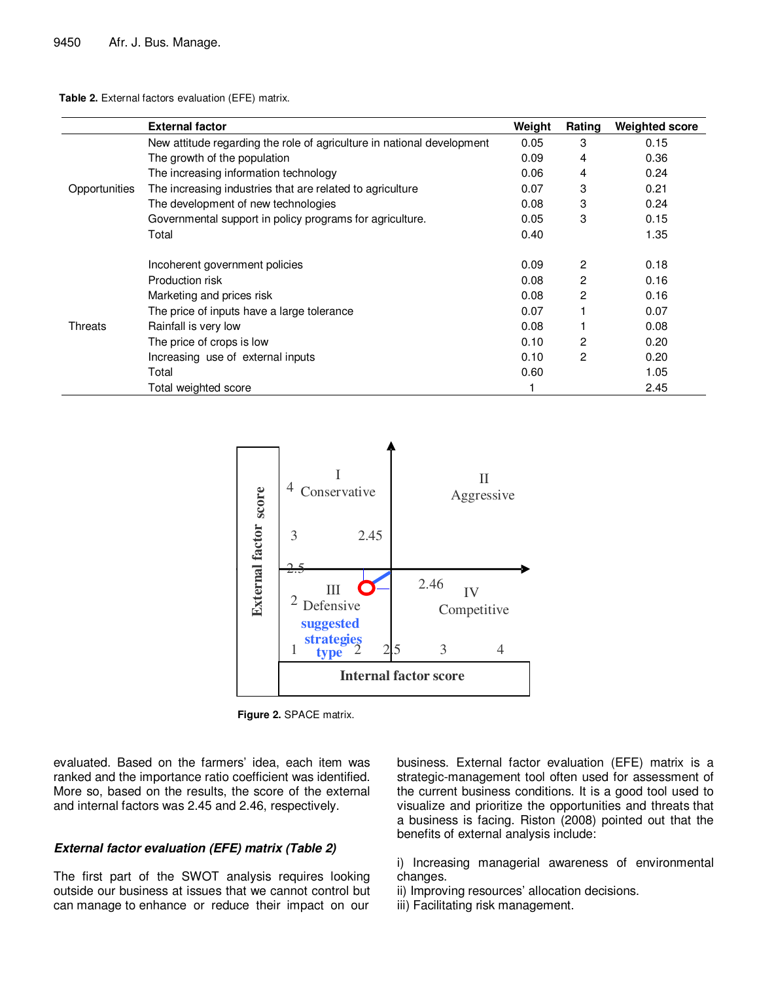**Table 2.** External factors evaluation (EFE) matrix.

|                | <b>External factor</b>                                                 | Weight | Rating | <b>Weighted score</b> |
|----------------|------------------------------------------------------------------------|--------|--------|-----------------------|
|                | New attitude regarding the role of agriculture in national development | 0.05   | 3      | 0.15                  |
| Opportunities  | The growth of the population                                           | 0.09   | 4      | 0.36                  |
|                | The increasing information technology                                  | 0.06   | 4      | 0.24                  |
|                | The increasing industries that are related to agriculture              | 0.07   | 3      | 0.21                  |
|                | The development of new technologies                                    | 0.08   | 3      | 0.24                  |
|                | Governmental support in policy programs for agriculture.               | 0.05   | 3      | 0.15                  |
|                | Total                                                                  | 0.40   |        | 1.35                  |
|                |                                                                        |        |        |                       |
| <b>Threats</b> | Incoherent government policies                                         | 0.09   | 2      | 0.18                  |
|                | Production risk                                                        | 0.08   | 2      | 0.16                  |
|                | Marketing and prices risk                                              | 0.08   | 2      | 0.16                  |
|                | The price of inputs have a large tolerance                             | 0.07   |        | 0.07                  |
|                | Rainfall is very low                                                   | 0.08   |        | 0.08                  |
|                | The price of crops is low                                              | 0.10   | 2      | 0.20                  |
|                | Increasing use of external inputs                                      | 0.10   | 2      | 0.20                  |
|                | Total                                                                  | 0.60   |        | 1.05                  |
|                | Total weighted score                                                   |        |        | 2.45                  |



**Figure 2.** SPACE matrix.

evaluated. Based on the farmers' idea, each item was ranked and the importance ratio coefficient was identified. More so, based on the results, the score of the external and internal factors was 2.45 and 2.46, respectively.

## **External factor evaluation (EFE) matrix (Table 2)**

The first part of the SWOT analysis requires looking outside our business at issues that we cannot control but can manage to enhance or reduce their impact on our

business. External factor evaluation (EFE) matrix is a strategic-management tool often used for assessment of the current business conditions. It is a good tool used to visualize and prioritize the opportunities and threats that a business is facing. Riston (2008) pointed out that the benefits of external analysis include:

i) Increasing managerial awareness of environmental changes.

- ii) Improving resources' allocation decisions.
- iii) Facilitating risk management.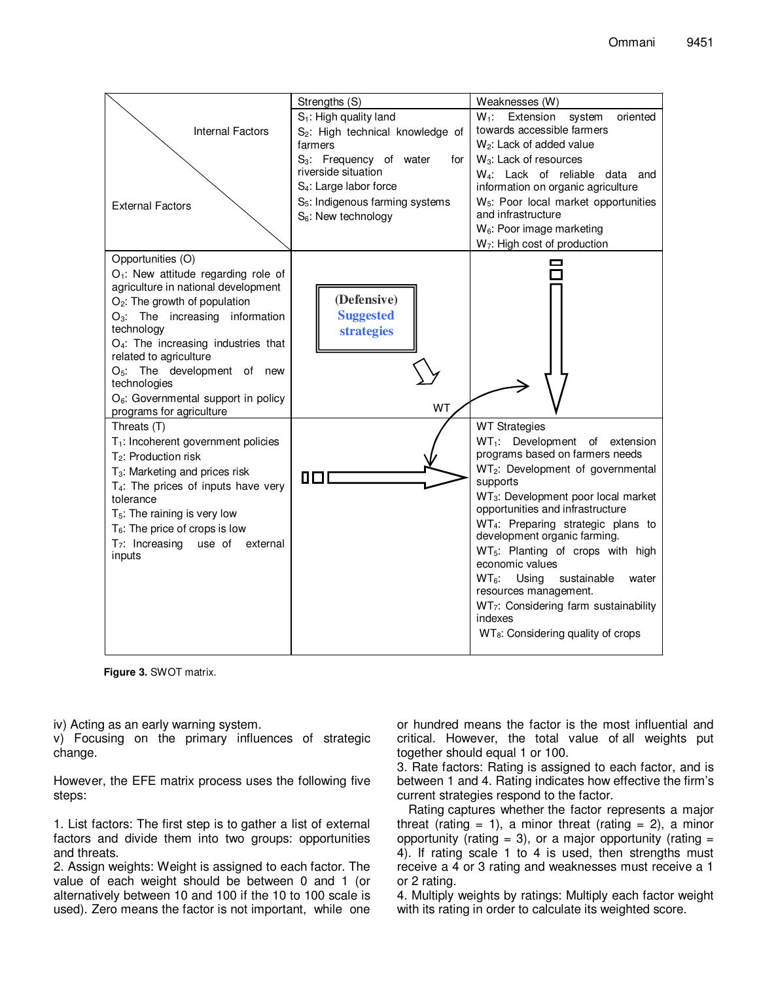

**Figure 3.** SWOT matrix.

iv) Acting as an early warning system.

v) Focusing on the primary influences of strategic change.

However, the EFE matrix process uses the following five steps:

1. List factors: The first step is to gather a list of external factors and divide them into two groups: opportunities and threats.

2. Assign weights: Weight is assigned to each factor. The value of each weight should be between 0 and 1 (or alternatively between 10 and 100 if the 10 to 100 scale is used). Zero means the factor is not important, while one or hundred means the factor is the most influential and critical. However, the total value of all weights put together should equal 1 or 100.

3. Rate factors: Rating is assigned to each factor, and is between 1 and 4. Rating indicates how effective the firm's current strategies respond to the factor.

Rating captures whether the factor represents a major threat (rating  $= 1$ ), a minor threat (rating  $= 2$ ), a minor opportunity (rating  $= 3$ ), or a major opportunity (rating  $=$ 4). If rating scale 1 to 4 is used, then strengths must receive a 4 or 3 rating and weaknesses must receive a 1 or 2 rating.

4. Multiply weights by ratings: Multiply each factor weight with its rating in order to calculate its weighted score.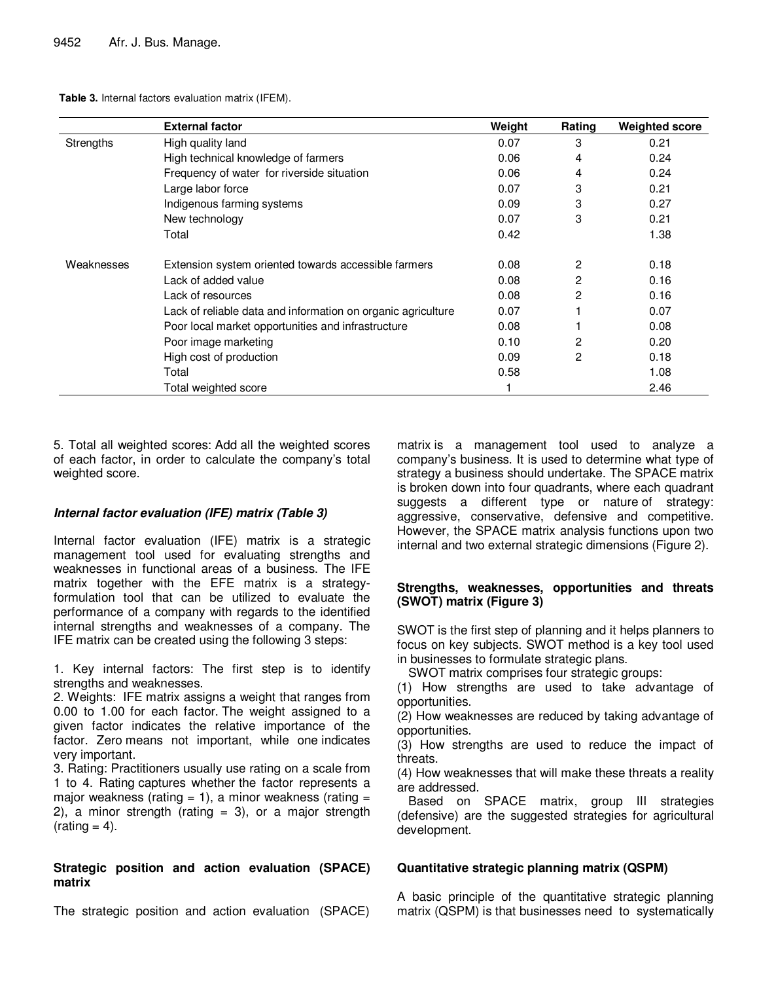**Table 3.** Internal factors evaluation matrix (IFEM).

|            | <b>External factor</b>                                       | Weight | Rating | <b>Weighted score</b> |
|------------|--------------------------------------------------------------|--------|--------|-----------------------|
| Strengths  | High quality land                                            | 0.07   | 3      | 0.21                  |
|            | High technical knowledge of farmers                          | 0.06   | 4      | 0.24                  |
|            | Frequency of water for riverside situation                   | 0.06   | 4      | 0.24                  |
|            | Large labor force                                            | 0.07   | 3      | 0.21                  |
|            | Indigenous farming systems                                   | 0.09   | 3      | 0.27                  |
|            | New technology                                               | 0.07   | 3      | 0.21                  |
|            | Total                                                        | 0.42   |        | 1.38                  |
| Weaknesses | Extension system oriented towards accessible farmers         | 0.08   | 2      | 0.18                  |
|            | Lack of added value                                          | 0.08   | 2      | 0.16                  |
|            | Lack of resources                                            | 0.08   | 2      | 0.16                  |
|            | Lack of reliable data and information on organic agriculture | 0.07   |        | 0.07                  |
|            | Poor local market opportunities and infrastructure           | 0.08   |        | 0.08                  |
|            | Poor image marketing                                         | 0.10   | 2      | 0.20                  |
|            | High cost of production                                      | 0.09   | 2      | 0.18                  |
|            | Total                                                        | 0.58   |        | 1.08                  |
|            | Total weighted score                                         |        |        | 2.46                  |

5. Total all weighted scores: Add all the weighted scores of each factor, in order to calculate the company's total weighted score.

#### **Internal factor evaluation (IFE) matrix (Table 3)**

Internal factor evaluation (IFE) matrix is a strategic management tool used for evaluating strengths and weaknesses in functional areas of a business. The IFE matrix together with the EFE matrix is a strategyformulation tool that can be utilized to evaluate the performance of a company with regards to the identified internal strengths and weaknesses of a company. The IFE matrix can be created using the following 3 steps:

1. Key internal factors: The first step is to identify strengths and weaknesses.

2. Weights: IFE matrix assigns a weight that ranges from 0.00 to 1.00 for each factor. The weight assigned to a given factor indicates the relative importance of the factor. Zero means not important, while one indicates very important.

3. Rating: Practitioners usually use rating on a scale from 1 to 4. Rating captures whether the factor represents a major weakness (rating  $= 1$ ), a minor weakness (rating  $=$ 2), a minor strength (rating  $= 3$ ), or a major strength  $(rating = 4)$ .

## **Strategic position and action evaluation (SPACE) matrix**

The strategic position and action evaluation (SPACE)

matrix is a management tool used to analyze a company's business. It is used to determine what type of strategy a business should undertake. The SPACE matrix is broken down into four quadrants, where each quadrant suggests a different type or nature of strategy: aggressive, conservative, defensive and competitive. However, the SPACE matrix analysis functions upon two internal and two external strategic dimensions (Figure 2).

## **Strengths, weaknesses, opportunities and threats (SWOT) matrix (Figure 3)**

SWOT is the first step of planning and it helps planners to focus on key subjects. SWOT method is a key tool used in businesses to formulate strategic plans.

SWOT matrix comprises four strategic groups:

(1) How strengths are used to take advantage of opportunities.

(2) How weaknesses are reduced by taking advantage of opportunities.

(3) How strengths are used to reduce the impact of threats.

(4) How weaknesses that will make these threats a reality are addressed.

Based on SPACE matrix, group III strategies (defensive) are the suggested strategies for agricultural development.

#### **Quantitative strategic planning matrix (QSPM)**

A basic principle of the quantitative strategic planning matrix (QSPM) is that businesses need to systematically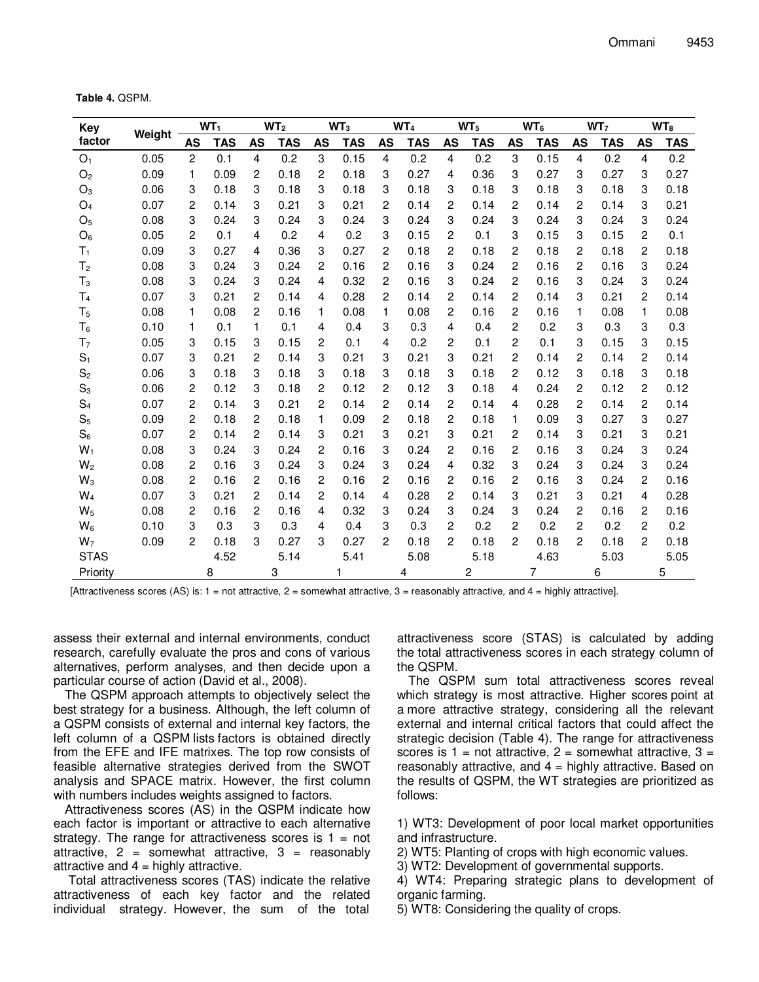**Table 4.** QSPM.

| <b>Key</b>     |        | WT <sub>1</sub> |            | WT <sub>2</sub> |            | WT <sub>3</sub> |      | WT <sub>4</sub> |      | WT <sub>5</sub> |            | $WT_6$         |      | WT <sub>7</sub> |      | WT <sub>8</sub> |      |
|----------------|--------|-----------------|------------|-----------------|------------|-----------------|------|-----------------|------|-----------------|------------|----------------|------|-----------------|------|-----------------|------|
| factor         | Weight | AS              | <b>TAS</b> | <b>AS</b>       | <b>TAS</b> | <b>AS</b>       | TAS  | AS              | TAS  | AS              | <b>TAS</b> | AS             | TAS  | AS              | TAS  | AS              | TAS  |
| O <sub>1</sub> | 0.05   | 2               | 0.1        | 4               | 0.2        | 3               | 0.15 | 4               | 0.2  | 4               | 0.2        | 3              | 0.15 | 4               | 0.2  | $\overline{4}$  | 0.2  |
| O <sub>2</sub> | 0.09   | 1               | 0.09       | 2               | 0.18       | 2               | 0.18 | 3               | 0.27 | 4               | 0.36       | 3              | 0.27 | 3               | 0.27 | 3               | 0.27 |
| $O_3$          | 0.06   | 3               | 0.18       | 3               | 0.18       | 3               | 0.18 | 3               | 0.18 | 3               | 0.18       | 3              | 0.18 | 3               | 0.18 | 3               | 0.18 |
| $O_4$          | 0.07   | 2               | 0.14       | 3               | 0.21       | 3               | 0.21 | 2               | 0.14 | 2               | 0.14       | 2              | 0.14 | 2               | 0.14 | 3               | 0.21 |
| O <sub>5</sub> | 0.08   | 3               | 0.24       | 3               | 0.24       | 3               | 0.24 | 3               | 0.24 | 3               | 0.24       | 3              | 0.24 | 3               | 0.24 | 3               | 0.24 |
| $O_6$          | 0.05   | 2               | 0.1        | 4               | 0.2        | 4               | 0.2  | 3               | 0.15 | 2               | 0.1        | 3              | 0.15 | 3               | 0.15 | 2               | 0.1  |
| $T_1$          | 0.09   | 3               | 0.27       | 4               | 0.36       | 3               | 0.27 | 2               | 0.18 | 2               | 0.18       | 2              | 0.18 | 2               | 0.18 | $\overline{2}$  | 0.18 |
| T <sub>2</sub> | 0.08   | 3               | 0.24       | 3               | 0.24       | 2               | 0.16 | 2               | 0.16 | 3               | 0.24       | 2              | 0.16 | 2               | 0.16 | 3               | 0.24 |
| $T_3$          | 0.08   | 3               | 0.24       | 3               | 0.24       | 4               | 0.32 | $\overline{c}$  | 0.16 | 3               | 0.24       | 2              | 0.16 | 3               | 0.24 | 3               | 0.24 |
| T <sub>4</sub> | 0.07   | 3               | 0.21       | 2               | 0.14       | 4               | 0.28 | 2               | 0.14 | 2               | 0.14       | 2              | 0.14 | 3               | 0.21 | 2               | 0.14 |
| T <sub>5</sub> | 0.08   | 1               | 0.08       | 2               | 0.16       | 1               | 0.08 | 1               | 0.08 | 2               | 0.16       | 2              | 0.16 | 1               | 0.08 | 1               | 0.08 |
| $T_6$          | 0.10   | 1               | 0.1        | 1               | 0.1        | 4               | 0.4  | 3               | 0.3  | 4               | 0.4        | 2              | 0.2  | 3               | 0.3  | 3               | 0.3  |
| T <sub>7</sub> | 0.05   | 3               | 0.15       | 3               | 0.15       | 2               | 0.1  | 4               | 0.2  | 2               | 0.1        | 2              | 0.1  | 3               | 0.15 | 3               | 0.15 |
| $S_1$          | 0.07   | 3               | 0.21       | 2               | 0.14       | 3               | 0.21 | 3               | 0.21 | 3               | 0.21       | 2              | 0.14 | 2               | 0.14 | $\overline{c}$  | 0.14 |
| S <sub>2</sub> | 0.06   | 3               | 0.18       | 3               | 0.18       | 3               | 0.18 | 3               | 0.18 | 3               | 0.18       | $\overline{c}$ | 0.12 | 3               | 0.18 | 3               | 0.18 |
| $S_3$          | 0.06   | 2               | 0.12       | 3               | 0.18       | 2               | 0.12 | 2               | 0.12 | 3               | 0.18       | 4              | 0.24 | 2               | 0.12 | 2               | 0.12 |
| $S_4$          | 0.07   | 2               | 0.14       | 3               | 0.21       | 2               | 0.14 | 2               | 0.14 | 2               | 0.14       | 4              | 0.28 | 2               | 0.14 | 2               | 0.14 |
| $S_5$          | 0.09   | 2               | 0.18       | 2               | 0.18       | 1               | 0.09 | 2               | 0.18 | 2               | 0.18       | 1              | 0.09 | 3               | 0.27 | 3               | 0.27 |
| $S_6$          | 0.07   | 2               | 0.14       | 2               | 0.14       | 3               | 0.21 | 3               | 0.21 | 3               | 0.21       | 2              | 0.14 | 3               | 0.21 | 3               | 0.21 |
| $W_1$          | 0.08   | 3               | 0.24       | 3               | 0.24       | 2               | 0.16 | 3               | 0.24 | 2               | 0.16       | 2              | 0.16 | 3               | 0.24 | 3               | 0.24 |
| $W_2$          | 0.08   | 2               | 0.16       | 3               | 0.24       | 3               | 0.24 | 3               | 0.24 | 4               | 0.32       | 3              | 0.24 | 3               | 0.24 | 3               | 0.24 |
| $W_3$          | 0.08   | 2               | 0.16       | 2               | 0.16       | 2               | 0.16 | 2               | 0.16 | 2               | 0.16       | 2              | 0.16 | 3               | 0.24 | $\overline{2}$  | 0.16 |
| $W_4$          | 0.07   | 3               | 0.21       | 2               | 0.14       | 2               | 0.14 | 4               | 0.28 | 2               | 0.14       | 3              | 0.21 | 3               | 0.21 | 4               | 0.28 |
| $W_5$          | 0.08   | 2               | 0.16       | 2               | 0.16       | 4               | 0.32 | 3               | 0.24 | 3               | 0.24       | 3              | 0.24 | 2               | 0.16 | 2               | 0.16 |
| $W_6$          | 0.10   | 3               | 0.3        | 3               | 0.3        | 4               | 0.4  | 3               | 0.3  | 2               | 0.2        | 2              | 0.2  | 2               | 0.2  | 2               | 0.2  |
| W <sub>7</sub> | 0.09   | 2               | 0.18       | 3               | 0.27       | 3               | 0.27 | $\overline{c}$  | 0.18 | 2               | 0.18       | 2              | 0.18 | 2               | 0.18 | 2               | 0.18 |
| <b>STAS</b>    |        |                 | 4.52       |                 | 5.14       |                 | 5.41 |                 | 5.08 |                 | 5.18       |                | 4.63 |                 | 5.03 |                 | 5.05 |
| Priority       |        |                 | 8          |                 | 3          |                 |      |                 | 4    |                 | 2          |                | 7    |                 | 6    |                 | 5    |

[Attractiveness scores (AS) is:  $1 = \text{not}$  attractive,  $2 = \text{somewhat}$  attractive,  $3 = \text{reasonably}$  attractive, and  $4 = \text{highly}$  attractive].

assess their external and internal environments, conduct research, carefully evaluate the pros and cons of various alternatives, perform analyses, and then decide upon a particular course of action (David et al., 2008).

The QSPM approach attempts to objectively select the best strategy for a business. Although, the left column of a QSPM consists of external and internal key factors, the left column of a QSPM lists factors is obtained directly from the EFE and IFE matrixes. The top row consists of feasible alternative strategies derived from the SWOT analysis and SPACE matrix. However, the first column with numbers includes weights assigned to factors.

Attractiveness scores (AS) in the QSPM indicate how each factor is important or attractive to each alternative strategy. The range for attractiveness scores is  $1 = not$ attractive,  $2 =$  somewhat attractive,  $3 =$  reasonably attractive and  $4 =$  highly attractive.

 Total attractiveness scores (TAS) indicate the relative attractiveness of each key factor and the related individual strategy. However, the sum of the total

attractiveness score (STAS) is calculated by adding the total attractiveness scores in each strategy column of the QSPM.

The QSPM sum total attractiveness scores reveal which strategy is most attractive. Higher scores point at a more attractive strategy, considering all the relevant external and internal critical factors that could affect the strategic decision (Table 4). The range for attractiveness scores is  $1 = \text{not attractive}$ ,  $2 = \text{somewhat attractive}$ ,  $3 =$ reasonably attractive, and  $4$  = highly attractive. Based on the results of QSPM, the WT strategies are prioritized as follows:

1) WT3: Development of poor local market opportunities and infrastructure.

2) WT5: Planting of crops with high economic values.

3) WT2: Development of governmental supports.

4) WT4: Preparing strategic plans to development of organic farming.

5) WT8: Considering the quality of crops.